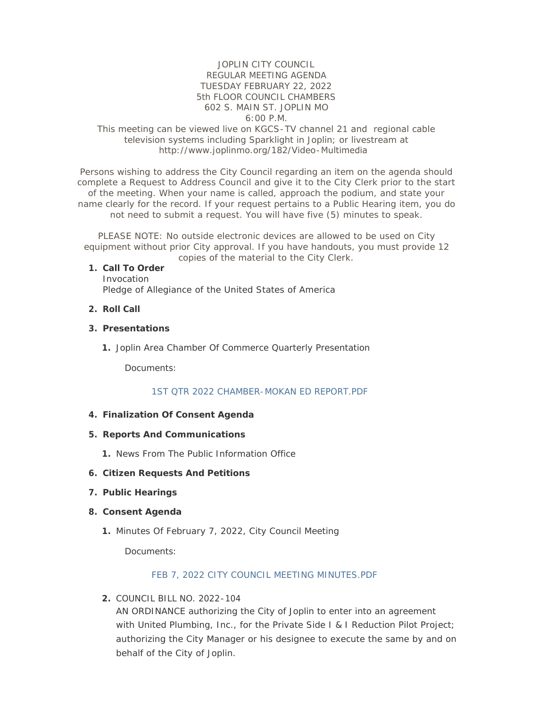# JOPLIN CITY COUNCIL REGULAR MEETING AGENDA TUESDAY FEBRUARY 22, 2022 5th FLOOR COUNCIL CHAMBERS 602 S. MAIN ST. JOPLIN MO 6:00 P.M.

## This meeting can be viewed live on KGCS-TV channel 21 and regional cable television systems including Sparklight in Joplin; or livestream at http://www.joplinmo.org/182/Video-Multimedia

Persons wishing to address the City Council regarding an item on the agenda should complete a Request to Address Council and give it to the City Clerk prior to the start of the meeting. When your name is called, approach the podium, and state your name clearly for the record. If your request pertains to a Public Hearing item, you do not need to submit a request. You will have five (5) minutes to speak.

PLEASE NOTE: No outside electronic devices are allowed to be used on City equipment without prior City approval. If you have handouts, you must provide 12 copies of the material to the City Clerk.

#### **Call To Order 1.**

Invocation Pledge of Allegiance of the United States of America

## **Roll Call 2.**

#### **Presentations 3.**

1. Joplin Area Chamber Of Commerce Quarterly Presentation

Documents:

### [1ST QTR 2022 CHAMBER-MOKAN ED REPORT.PDF](http://www.joplinmo.org/AgendaCenter/ViewFile/Item/8359?fileID=49163)

### **Finalization Of Consent Agenda 4.**

- **Reports And Communications 5.**
	- 1. News From The Public Information Office
- **Citizen Requests And Petitions 6.**
- **Public Hearings 7.**

#### **Consent Agenda 8.**

Minutes Of February 7, 2022, City Council Meeting **1.**

Documents:

#### [FEB 7, 2022 CITY COUNCIL MEETING MINUTES.PDF](http://www.joplinmo.org/AgendaCenter/ViewFile/Item/8353?fileID=49093)

COUNCIL BILL NO. 2022-104 **2.**

AN ORDINANCE authorizing the City of Joplin to enter into an agreement with United Plumbing, Inc., for the Private Side I & I Reduction Pilot Project; authorizing the City Manager or his designee to execute the same by and on behalf of the City of Joplin.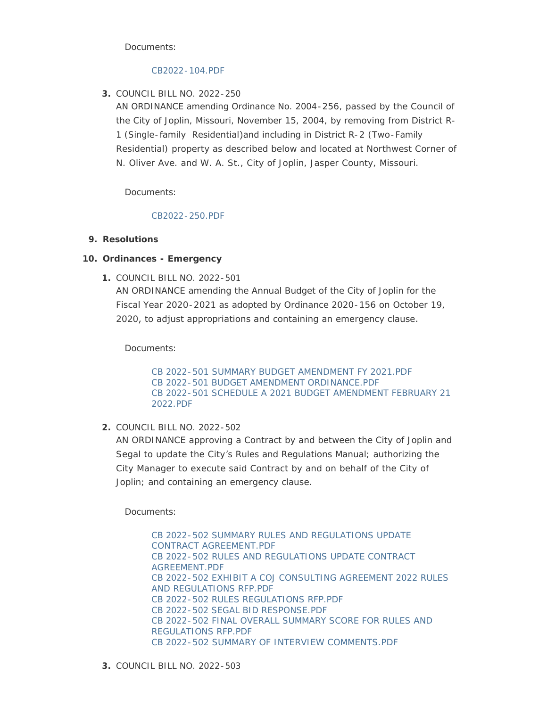Documents:

## [CB2022-104.PDF](http://www.joplinmo.org/AgendaCenter/ViewFile/Item/8346?fileID=48919)

COUNCIL BILL NO. 2022-250 **3.**

AN ORDINANCE amending Ordinance No. 2004-256, passed by the Council of the City of Joplin, Missouri, November 15, 2004, by removing from District R-1 (Single-family Residential)and including in District R-2 (Two-Family Residential) property as described below and located at Northwest Corner of N. Oliver Ave. and W. A. St., City of Joplin, Jasper County, Missouri.

Documents:

# [CB2022-250.PDF](http://www.joplinmo.org/AgendaCenter/ViewFile/Item/8347?fileID=48920)

# **Resolutions 9.**

# **Ordinances - Emergency 10.**

COUNCIL BILL NO. 2022-501 **1.** AN ORDINANCE amending the Annual Budget of the City of Joplin for the Fiscal Year 2020-2021 as adopted by Ordinance 2020-156 on October 19, 2020, to adjust appropriations and containing an emergency clause.

Documents:

[CB 2022-501 SUMMARY BUDGET AMENDMENT FY 2021.PDF](http://www.joplinmo.org/AgendaCenter/ViewFile/Item/8351?fileID=49122) [CB 2022-501 BUDGET AMENDMENT ORDINANCE.PDF](http://www.joplinmo.org/AgendaCenter/ViewFile/Item/8351?fileID=49120) [CB 2022-501 SCHEDULE A 2021 BUDGET AMENDMENT FEBRUARY 21](http://www.joplinmo.org/AgendaCenter/ViewFile/Item/8351?fileID=49121)  2022.PDF

# COUNCIL BILL NO. 2022-502 **2.**

AN ORDINANCE approving a Contract by and between the City of Joplin and Segal to update the City's Rules and Regulations Manual; authorizing the City Manager to execute said Contract by and on behalf of the City of Joplin; and containing an emergency clause.

Documents:

[CB 2022-502 SUMMARY RULES AND REGULATIONS UPDATE](http://www.joplinmo.org/AgendaCenter/ViewFile/Item/8352?fileID=49092)  CONTRACT AGREEMENT.PDF [CB 2022-502 RULES AND REGULATIONS UPDATE CONTRACT](http://www.joplinmo.org/AgendaCenter/ViewFile/Item/8352?fileID=49088)  AGREEMENT.PDF [CB 2022-502 EXHIBIT A COJ CONSULTING AGREEMENT 2022 RULES](http://www.joplinmo.org/AgendaCenter/ViewFile/Item/8352?fileID=49086)  AND REGULATIONS RFP.PDF [CB 2022-502 RULES REGULATIONS RFP.PDF](http://www.joplinmo.org/AgendaCenter/ViewFile/Item/8352?fileID=49089) [CB 2022-502 SEGAL BID RESPONSE.PDF](http://www.joplinmo.org/AgendaCenter/ViewFile/Item/8352?fileID=49097) [CB 2022-502 FINAL OVERALL SUMMARY SCORE FOR RULES AND](http://www.joplinmo.org/AgendaCenter/ViewFile/Item/8352?fileID=49087)  REGULATIONS RFP.PDF [CB 2022-502 SUMMARY OF INTERVIEW COMMENTS.PDF](http://www.joplinmo.org/AgendaCenter/ViewFile/Item/8352?fileID=49091)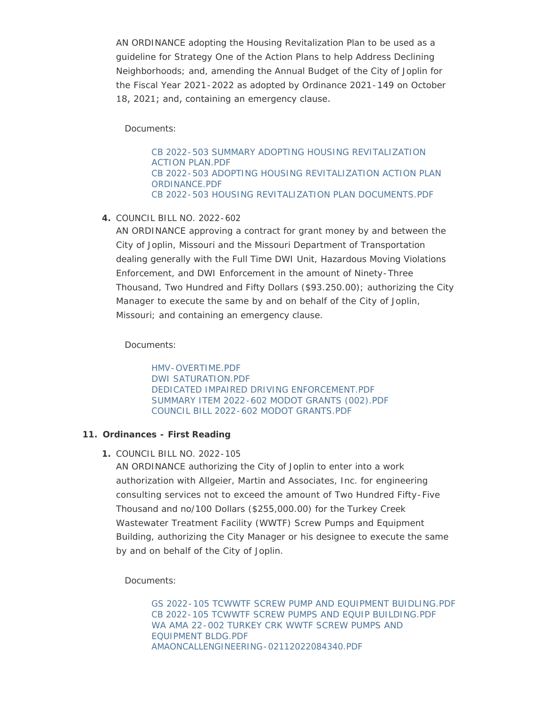AN ORDINANCE adopting the Housing Revitalization Plan to be used as a guideline for Strategy One of the Action Plans to help Address Declining Neighborhoods; and, amending the Annual Budget of the City of Joplin for the Fiscal Year 2021-2022 as adopted by Ordinance 2021-149 on October 18, 2021; and, containing an emergency clause.

Documents:

[CB 2022-503 SUMMARY ADOPTING HOUSING REVITALIZATION](http://www.joplinmo.org/AgendaCenter/ViewFile/Item/8354?fileID=49096)  ACTION PLAN.PDF [CB 2022-503 ADOPTING HOUSING REVITALIZATION ACTION PLAN](http://www.joplinmo.org/AgendaCenter/ViewFile/Item/8354?fileID=49094)  ORDINANCE.PDF [CB 2022-503 HOUSING REVITALIZATION PLAN DOCUMENTS.PDF](http://www.joplinmo.org/AgendaCenter/ViewFile/Item/8354?fileID=49095)

COUNCIL BILL NO. 2022-602 **4.**

AN ORDINANCE approving a contract for grant money by and between the City of Joplin, Missouri and the Missouri Department of Transportation dealing generally with the Full Time DWI Unit, Hazardous Moving Violations Enforcement, and DWI Enforcement in the amount of Ninety-Three Thousand, Two Hundred and Fifty Dollars (\$93.250.00); authorizing the City Manager to execute the same by and on behalf of the City of Joplin, Missouri; and containing an emergency clause.

Documents:

[HMV-OVERTIME.PDF](http://www.joplinmo.org/AgendaCenter/ViewFile/Item/8345?fileID=48898) [DWI SATURATION.PDF](http://www.joplinmo.org/AgendaCenter/ViewFile/Item/8345?fileID=48899) [DEDICATED IMPAIRED DRIVING ENFORCEMENT.PDF](http://www.joplinmo.org/AgendaCenter/ViewFile/Item/8345?fileID=48900) [SUMMARY ITEM 2022-602 MODOT GRANTS \(002\).PDF](http://www.joplinmo.org/AgendaCenter/ViewFile/Item/8345?fileID=49098) [COUNCIL BILL 2022-602 MODOT GRANTS.PDF](http://www.joplinmo.org/AgendaCenter/ViewFile/Item/8345?fileID=49099)

# **Ordinances - First Reading 11.**

COUNCIL BILL NO. 2022-105 **1.**

AN ORDINANCE authorizing the City of Joplin to enter into a work authorization with Allgeier, Martin and Associates, Inc. for engineering consulting services not to exceed the amount of Two Hundred Fifty-Five Thousand and no/100 Dollars (\$255,000.00) for the Turkey Creek Wastewater Treatment Facility (WWTF) Screw Pumps and Equipment Building, authorizing the City Manager or his designee to execute the same by and on behalf of the City of Joplin.

Documents:

[GS 2022-105 TCWWTF SCREW PUMP AND EQUIPMENT BUIDLING.PDF](http://www.joplinmo.org/AgendaCenter/ViewFile/Item/8349?fileID=49062) [CB 2022-105 TCWWTF SCREW PUMPS AND EQUIP BUILDING.PDF](http://www.joplinmo.org/AgendaCenter/ViewFile/Item/8349?fileID=49063) [WA AMA 22-002 TURKEY CRK WWTF SCREW PUMPS AND](http://www.joplinmo.org/AgendaCenter/ViewFile/Item/8349?fileID=49064)  EQUIPMENT BLDG.PDF [AMAONCALLENGINEERING-02112022084340.PDF](http://www.joplinmo.org/AgendaCenter/ViewFile/Item/8349?fileID=49065)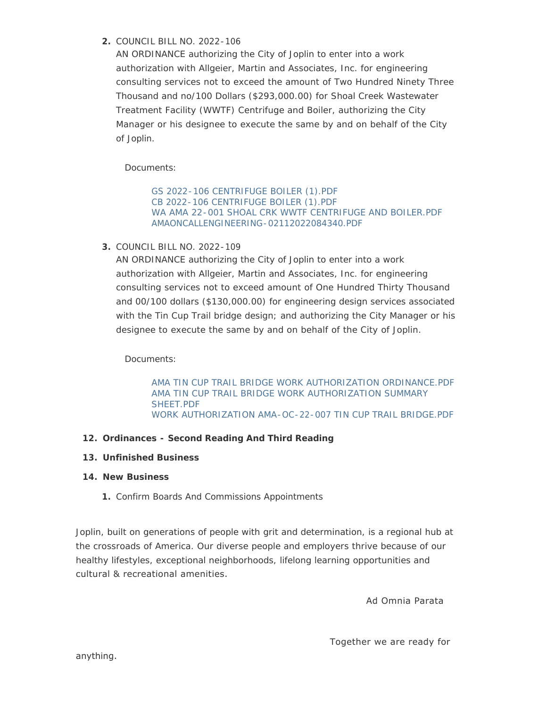# COUNCIL BILL NO. 2022-106 **2.**

AN ORDINANCE authorizing the City of Joplin to enter into a work authorization with Allgeier, Martin and Associates, Inc. for engineering consulting services not to exceed the amount of Two Hundred Ninety Three Thousand and no/100 Dollars (\$293,000.00) for Shoal Creek Wastewater Treatment Facility (WWTF) Centrifuge and Boiler, authorizing the City Manager or his designee to execute the same by and on behalf of the City of Joplin.

Documents:

[GS 2022-106 CENTRIFUGE BOILER \(1\).PDF](http://www.joplinmo.org/AgendaCenter/ViewFile/Item/8348?fileID=49058) [CB 2022-106 CENTRIFUGE BOILER \(1\).PDF](http://www.joplinmo.org/AgendaCenter/ViewFile/Item/8348?fileID=49059) [WA AMA 22-001 SHOAL CRK WWTF CENTRIFUGE AND BOILER.PDF](http://www.joplinmo.org/AgendaCenter/ViewFile/Item/8348?fileID=49060) [AMAONCALLENGINEERING-02112022084340.PDF](http://www.joplinmo.org/AgendaCenter/ViewFile/Item/8348?fileID=49061)

COUNCIL BILL NO. 2022-109 **3.**

AN ORDINANCE authorizing the City of Joplin to enter into a work authorization with Allgeier, Martin and Associates, Inc. for engineering consulting services not to exceed amount of One Hundred Thirty Thousand and 00/100 dollars (\$130,000.00) for engineering design services associated with the Tin Cup Trail bridge design; and authorizing the City Manager or his designee to execute the same by and on behalf of the City of Joplin.

Documents:

[AMA TIN CUP TRAIL BRIDGE WORK AUTHORIZATION ORDINANCE.PDF](http://www.joplinmo.org/AgendaCenter/ViewFile/Item/8355?fileID=49100) [AMA TIN CUP TRAIL BRIDGE WORK AUTHORIZATION SUMMARY](http://www.joplinmo.org/AgendaCenter/ViewFile/Item/8355?fileID=49101)  SHEET.PDF [WORK AUTHORIZATION AMA-OC-22-007 TIN CUP TRAIL BRIDGE.PDF](http://www.joplinmo.org/AgendaCenter/ViewFile/Item/8355?fileID=49102)

# **Ordinances - Second Reading And Third Reading 12.**

# **Unfinished Business 13.**

# **New Business 14.**

1. Confirm Boards And Commissions Appointments

Joplin, built on generations of people with grit and determination, is a regional hub at the crossroads of America. Our diverse people and employers thrive because of our healthy lifestyles, exceptional neighborhoods, lifelong learning opportunities and cultural & recreational amenities.

Ad Omnia Parata

Together we are ready for